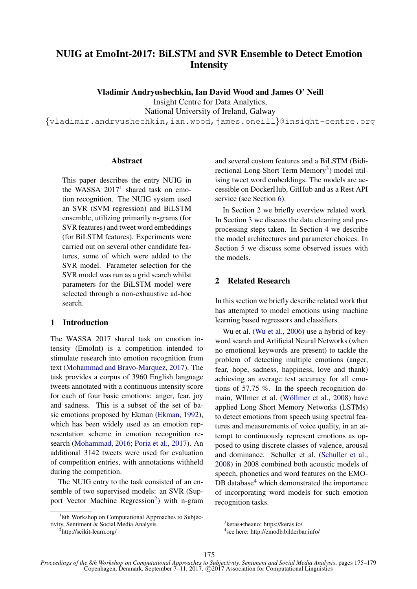# NUIG at EmoInt-2017: BiLSTM and SVR Ensemble to Detect Emotion Intensity

Vladimir Andryushechkin, Ian David Wood and James O' Neill

Insight Centre for Data Analytics,

National University of Ireland, Galway

{vladimir.andryushechkin,ian.wood,james.oneill}@insight-centre.org

# Abstract

This paper describes the entry NUIG in the WASSA  $2017<sup>1</sup>$  shared task on emotion recognition. The NUIG system used an SVR (SVM regression) and BiLSTM ensemble, utilizing primarily n-grams (for SVR features) and tweet word embeddings (for BiLSTM features). Experiments were carried out on several other candidate features, some of which were added to the SVR model. Parameter selection for the SVR model was run as a grid search whilst parameters for the BiLSTM model were selected through a non-exhaustive ad-hoc search.

# 1 Introduction

The WASSA 2017 shared task on emotion intensity (EmoInt) is a competition intended to stimulate research into emotion recognition from text (Mohammad and Bravo-Marquez, 2017). The task provides a corpus of 3960 English language tweets annotated with a continuous intensity score for each of four basic emotions: anger, fear, joy and sadness. This is a subset of the set of basic emotions proposed by Ekman (Ekman, 1992), which has been widely used as an emotion representation scheme in emotion recognition research (Mohammad, 2016; Poria et al., 2017). An additional 3142 tweets were used for evaluation of competition entries, with annotations withheld during the competition.

The NUIG entry to the task consisted of an ensemble of two supervised models: an SVR (Support Vector Machine Regression<sup>2</sup>) with n-gram

<sup>2</sup>http://scikit-learn.org/

and several custom features and a BiLSTM (Bidirectional Long-Short Term Memory<sup>3</sup>) model utilising tweet word embeddings. The models are accessible on DockerHub, GitHub and as a Rest API service (see Section 6).

In Section 2 we briefly overview related work. In Section 3 we discuss the data cleaning and preprocessing steps taken. In Section 4 we describe the model architectures and parameter choices. In Section 5 we discuss some observed issues with the models.

# 2 Related Research

In this section we briefly describe related work that has attempted to model emotions using machine learning based regressors and classifiers.

Wu et al. (Wu et al., 2006) use a hybrid of keyword search and Artificial Neural Networks (when no emotional keywords are present) to tackle the problem of detecting multiple emotions (anger, fear, hope, sadness, happiness, love and thank) achieving an average test accuracy for all emotions of 57.75 %. In the speech recognition domain, Wllmer et al. (Wöllmer et al., 2008) have applied Long Short Memory Networks (LSTMs) to detect emotions from speech using spectral features and measurements of voice quality, in an attempt to continuously represent emotions as opposed to using discrete classes of valence, arousal and dominance. Schuller et al. (Schuller et al., 2008) in 2008 combined both acoustic models of speech, phonetics and word features on the EMO-DB database $4$  which demonstrated the importance of incorporating word models for such emotion recognition tasks.

<sup>&</sup>lt;sup>1</sup>8th Workshop on Computational Approaches to Subjectivity, Sentiment & Social Media Analysis

<sup>3</sup> keras+theano: https://keras.io/

<sup>4</sup> see here: http://emodb.bilderbar.info/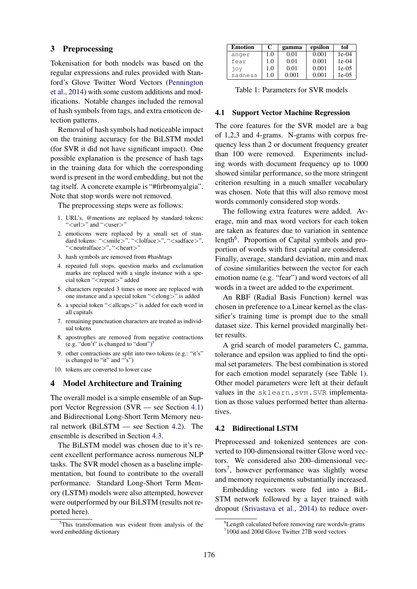# 3 Preprocessing

Tokenisation for both models was based on the regular expressions and rules provided with Stanford's Glove Twitter Word Vectors (Pennington et al., 2014) with some custom additions and modifications. Notable changes included the removal of hash symbols from tags, and extra emoticon detection patterns.

Removal of hash symbols had noticeable impact on the training accuracy for the BiLSTM model (for SVR it did not have significant impact). One possible explanation is the presence of hash tags in the training data for which the corresponding word is present in the word embedding, but not the tag itself. A concrete example is "#firbromyalgia". Note that stop words were not removed.

The preprocessing steps were as follows:

- 1. URL's, @mentions are replaced by standard tokens: "<url>" and "<user>"
- 2. emoticons were replaced by a small set of standard tokens: "<smile>", "<lolface>", "<sadface>", "<neutralface>", "<heart>"
- 3. hash symbols are removed from #hashtags
- 4. repeated full stops, question marks and exclamation marks are replaced with a single instance with a special token "<repeat>" added
- 5. characters repeated 3 times or more are replaced with one instance and a special token "<elong>" is added
- 6. a special token "<allcaps>" is added for each word in all capitals
- 7. remaining punctuation characters are treated as individual tokens
- 8. apostrophes are removed from negative contractions (e.g. "don't" is changed to "dont")<sup>5</sup>
- 9. other contractions are split into two tokens (e.g.: "it's" is changed to "it" and " $\overrightarrow{s}$ ")
- 10. tokens are converted to lower case

# 4 Model Architecture and Training

The overall model is a simple ensemble of an Support Vector Regression (SVR — see Section 4.1) and Bidirectional Long-Short Term Memory neural network (BiLSTM — see Section 4.2). The ensemble is described in Section 4.3.

The BiLSTM model was chosen due to it's recent excellent performance across numerous NLP tasks. The SVR model chosen as a baseline implementation, but found to contribute to the overall performance. Standard Long-Short Term Memory (LSTM) models were also attempted, however were outperformed by our BiLSTM (results not reported here).

| <b>Emotion</b> | C   | gamma | epsilon | tol      |
|----------------|-----|-------|---------|----------|
| anger          | 1.0 | 0.01  | 0.001   | $1e-04$  |
| fear           | 1.0 | 0.01  | 0.001   | $1e-04$  |
| jov            | 1.0 | 0.01  | 0.001   | $1e-0.5$ |
| sadness        | 1.0 | 0.001 | 0.001   | 1e-05    |

Table 1: Parameters for SVR models

### 4.1 Support Vector Machine Regression

The core features for the SVR model are a bag of 1,2,3 and 4-grams. N-grams with corpus frequency less than 2 or document frequency greater than 100 were removed. Experiments including words with document frequency up to 1000 showed similar performance, so the more stringent criterion resulting in a much smaller vocabulary was chosen. Note that this will also remove most words commonly considered stop words.

The following extra features were added. Average, min and max word vectors for each token are taken as features due to variation in sentence length<sup>6</sup>. Proportion of Capital symbols and proportion of words with first capital are considered. Finally, average, standard deviation, min and max of cosine similarities between the vector for each emotion name (e.g. "fear") and word vectors of all words in a tweet are added to the experiment.

An RBF (Radial Basis Function) kernel was chosen in preference to a Linear kernel as the classifier's training time is prompt due to the small dataset size. This kernel provided marginally better results.

A grid search of model parameters C, gamma, tolerance and epsilon was applied to find the optimal set parameters. The best combination is stored for each emotion model separately (see Table 1). Other model parameters were left at their default values in the sklearn.svm.SVR implementation as those values performed better than alternatives.

#### 4.2 Bidirectional LSTM

Preprocessed and tokenized sentences are converted to 100-dimensional twitter Glove word vectors. We considered also 200–dimensional vectors<sup>7</sup> , however performance was slightly worse and memory requirements substantially increased.

Embedding vectors were fed into a BiL-STM network followed by a layer trained with dropout (Srivastava et al., 2014) to reduce over-

<sup>5</sup>This transformation was evident from analysis of the word embedding dictionary

<sup>&</sup>lt;sup>6</sup>Length calculated before removing rare words/n-grams

<sup>7</sup> 100d and 200d Glove Twitter 27B word vectors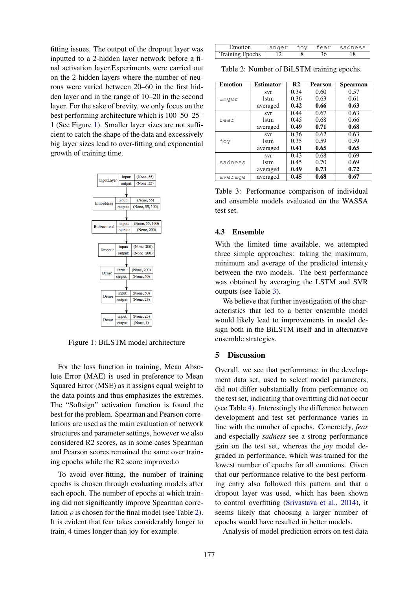fitting issues. The output of the dropout layer was inputted to a 2-hidden layer network before a final activation layer.Experiments were carried out on the 2-hidden layers where the number of neurons were varied between 20–60 in the first hidden layer and in the range of 10–20 in the second layer. For the sake of brevity, we only focus on the best performing architecture which is 100–50–25– 1 (See Figure 1). Smaller layer sizes are not sufficient to catch the shape of the data and excessively big layer sizes lead to over-fitting and exponential growth of training time.



Figure 1: BiLSTM model architecture

For the loss function in training, Mean Absolute Error (MAE) is used in preference to Mean Squared Error (MSE) as it assigns equal weight to the data points and thus emphasizes the extremes. The "Softsign" activation function is found the best for the problem. Spearman and Pearson correlations are used as the main evaluation of network structures and parameter settings, however we also considered R2 scores, as in some cases Spearman and Pearson scores remained the same over training epochs while the R2 score improved.o

To avoid over-fitting, the number of training epochs is chosen through evaluating models after each epoch. The number of epochs at which training did not significantly improve Spearman correlation  $\rho$  is chosen for the final model (see Table 2). It is evident that fear takes considerably longer to train, 4 times longer than joy for example.

| Emotion                | 10V | fear | sadness |
|------------------------|-----|------|---------|
| <b>Training Epochs</b> |     |      |         |

Table 2: Number of BiLSTM training epochs.

| <b>Emotion</b> | <b>Estimator</b> | R <sub>2</sub> | <b>Pearson</b> | <b>Spearman</b> |
|----------------|------------------|----------------|----------------|-----------------|
| anger          | svr              | 0.34           | 0.60           | 0.57            |
|                | lstm             | 0.36           | 0.63           | 0.61            |
|                | averaged         | 0.42           | 0.66           | 0.63            |
| fear           | svr              | 0.44           | 0.67           | 0.63            |
|                | lstm             | 0.45           | 0.68           | 0.66            |
|                | averaged         | 0.49           | 0.71           | 0.68            |
| joy            | svr              | 0.36           | 0.62           | 0.63            |
|                | lstm             | 0.35           | 0.59           | 0.59            |
|                | averaged         | 0.41           | 0.65           | 0.65            |
| sadness        | svr              | 0.43           | 0.68           | 0.69            |
|                | lstm             | 0.45           | 0.70           | 0.69            |
|                | averaged         | 0.49           | 0.73           | 0.72            |
| average        | averaged         | 0.45           | 0.68           | 0.67            |

Table 3: Performance comparison of individual and ensemble models evaluated on the WASSA test set.

# 4.3 Ensemble

With the limited time available, we attempted three simple approaches: taking the maximum, minimum and average of the predicted intensity between the two models. The best performance was obtained by averaging the LSTM and SVR outputs (see Table 3).

We believe that further investigation of the characteristics that led to a better ensemble model would likely lead to improvements in model design both in the BiLSTM itself and in alternative ensemble strategies.

# 5 Discussion

Overall, we see that performance in the development data set, used to select model parameters, did not differ substantially from performance on the test set, indicating that overfitting did not occur (see Table 4). Interestingly the difference between development and test set performance varies in line with the number of epochs. Concretely, *fear* and especially *sadness* see a strong performance gain on the test set, whereas the *joy* model degraded in performance, which was trained for the lowest number of epochs for all emotions. Given that our performance relative to the best performing entry also followed this pattern and that a dropout layer was used, which has been shown to control overfitting (Srivastava et al., 2014), it seems likely that choosing a larger number of epochs would have resulted in better models.

Analysis of model prediction errors on test data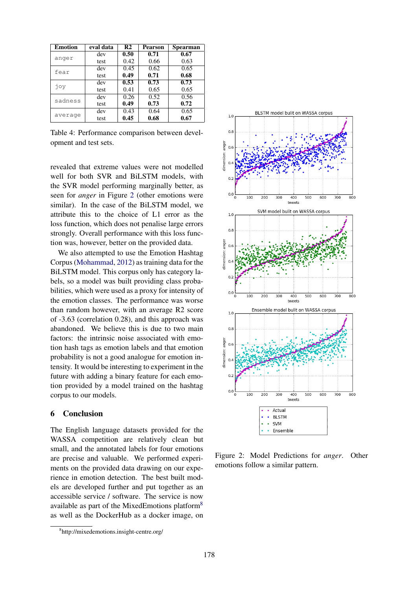| <b>Emotion</b> | eval data | R <sub>2</sub> | <b>Pearson</b> | <b>Spearman</b> |
|----------------|-----------|----------------|----------------|-----------------|
| anger          | dev       | 0.50           | 0.71           | 0.67            |
|                | test      | 0.42           | 0.66           | 0.63            |
| fear           | dev       | 0.45           | 0.62           | 0.65            |
|                | test      | 0.49           | 0.71           | 0.68            |
| joy            | dev       | 0.53           | 0.73           | 0.73            |
|                | test      | 0.41           | 0.65           | 0.65            |
| sadness        | dev       | 0.26           | 0.52           | 0.56            |
|                | test      | 0.49           | 0.73           | 0.72            |
| average        | dev       | 0.43           | 0.64           | 0.65            |
|                | test      | 0.45           | 0.68           | 0.67            |

Table 4: Performance comparison between development and test sets.

revealed that extreme values were not modelled well for both SVR and BiLSTM models, with the SVR model performing marginally better, as seen for *anger* in Figure 2 (other emotions were similar). In the case of the BiLSTM model, we attribute this to the choice of L1 error as the loss function, which does not penalise large errors strongly. Overall performance with this loss function was, however, better on the provided data.

We also attempted to use the Emotion Hashtag Corpus (Mohammad, 2012) as training data for the BiLSTM model. This corpus only has category labels, so a model was built providing class probabilities, which were used as a proxy for intensity of the emotion classes. The performance was worse than random however, with an average R2 score of -3.63 (correlation 0.28), and this approach was abandoned. We believe this is due to two main factors: the intrinsic noise associated with emotion hash tags as emotion labels and that emotion probability is not a good analogue for emotion intensity. It would be interesting to experiment in the future with adding a binary feature for each emotion provided by a model trained on the hashtag corpus to our models.

# 6 Conclusion

The English language datasets provided for the WASSA competition are relatively clean but small, and the annotated labels for four emotions are precise and valuable. We performed experiments on the provided data drawing on our experience in emotion detection. The best built models are developed further and put together as an accessible service / software. The service is now available as part of the MixedEmotions platform<sup>8</sup> as well as the DockerHub as a docker image, on



Figure 2: Model Predictions for *anger*. Other emotions follow a similar pattern.

<sup>8</sup> http://mixedemotions.insight-centre.org/